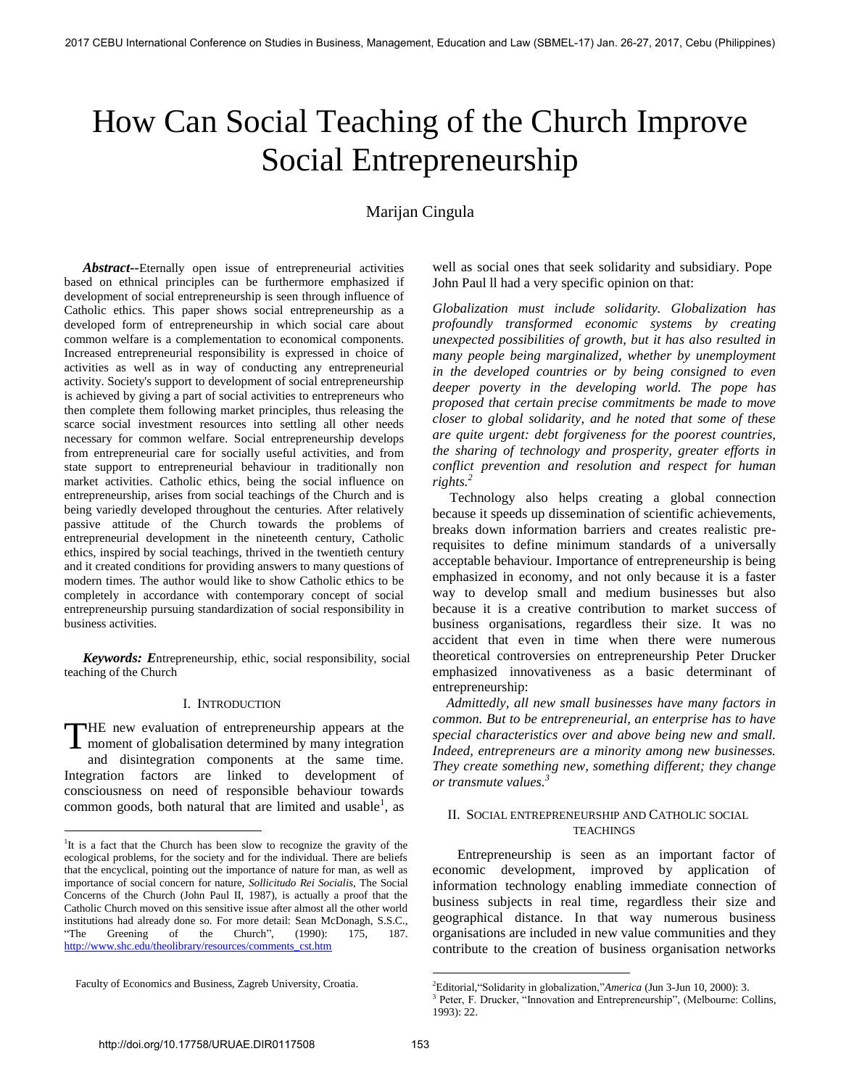# How Can Social Teaching of the Church Improve Social Entrepreneurship

# Marijan Cingula

*Abstract--*Eternally open issue of entrepreneurial activities based on ethnical principles can be furthermore emphasized if development of social entrepreneurship is seen through influence of Catholic ethics. This paper shows social entrepreneurship as a developed form of entrepreneurship in which social care about common welfare is a complementation to economical components. Increased entrepreneurial responsibility is expressed in choice of activities as well as in way of conducting any entrepreneurial activity. Society's support to development of social entrepreneurship is achieved by giving a part of social activities to entrepreneurs who then complete them following market principles, thus releasing the scarce social investment resources into settling all other needs necessary for common welfare. Social entrepreneurship develops from entrepreneurial care for socially useful activities, and from state support to entrepreneurial behaviour in traditionally non market activities. Catholic ethics, being the social influence on entrepreneurship, arises from social teachings of the Church and is being variedly developed throughout the centuries. After relatively passive attitude of the Church towards the problems of entrepreneurial development in the nineteenth century, Catholic ethics, inspired by social teachings, thrived in the twentieth century and it created conditions for providing answers to many questions of modern times. The author would like to show Catholic ethics to be completely in accordance with contemporary concept of social entrepreneurship pursuing standardization of social responsibility in business activities.

*Keywords: E*ntrepreneurship, ethic, social responsibility, social teaching of the Church

# I. INTRODUCTION

HE new evaluation of entrepreneurship appears at the THE new evaluation of entrepreneurship appears at the moment of globalisation determined by many integration and disintegration components at the same time. Integration factors are linked to development of consciousness on need of responsible behaviour towards common goods, both natural that are limited and usable<sup>1</sup>, as

 $\overline{a}$ 

well as social ones that seek solidarity and subsidiary. Pope John Paul ll had a very specific opinion on that:

*Globalization must include solidarity. Globalization has profoundly transformed economic systems by creating unexpected possibilities of growth, but it has also resulted in many people being marginalized, whether by unemployment in the developed countries or by being consigned to even deeper poverty in the developing world. The pope has proposed that certain precise commitments be made to move closer to global solidarity, and he noted that some of these are quite urgent: debt forgiveness for the poorest countries, the sharing of technology and prosperity, greater efforts in conflict prevention and resolution and respect for human rights.<sup>2</sup>*

 Technology also helps creating a global connection because it speeds up dissemination of scientific achievements, breaks down information barriers and creates realistic prerequisites to define minimum standards of a universally acceptable behaviour. Importance of entrepreneurship is being emphasized in economy, and not only because it is a faster way to develop small and medium businesses but also because it is a creative contribution to market success of business organisations, regardless their size. It was no accident that even in time when there were numerous theoretical controversies on entrepreneurship Peter Drucker emphasized innovativeness as a basic determinant of entrepreneurship:

 *Admittedly, all new small businesses have many factors in common. But to be entrepreneurial, an enterprise has to have special characteristics over and above being new and small. Indeed, entrepreneurs are a minority among new businesses. They create something new, something different; they change or transmute values.<sup>3</sup>*

# II. SOCIAL ENTREPRENEURSHIP AND CATHOLIC SOCIAL **TEACHINGS**

Entrepreneurship is seen as an important factor of economic development, improved by application of information technology enabling immediate connection of business subjects in real time, regardless their size and geographical distance. In that way numerous business organisations are included in new value communities and they contribute to the creation of business organisation networks

<sup>&</sup>lt;sup>1</sup>It is a fact that the Church has been slow to recognize the gravity of the ecological problems, for the society and for the individual. There are beliefs that the encyclical, pointing out the importance of nature for man, as well as importance of social concern for nature, *Sollicitudo Rei Socialis*, The Social Concerns of the Church (John Paul II, 1987), is actually a proof that the Catholic Church moved on this sensitive issue after almost all the other world institutions had already done so. For more detail: Sean McDonagh, S.S.C., "The Greening of the Church", (1990): 175, 187. [http://www.shc.edu/theolibrary/resources/comments\\_cst.htm](http://www.shc.edu/theolibrary/resources/comments_cst.htm)

Faculty of Economics and Business, Zagreb University, Croatia.

<sup>2</sup>Editorial,"Solidarity in globalization,"*America* (Jun 3-Jun 10, 2000): 3.

<sup>&</sup>lt;sup>3</sup> Peter, F. Drucker, "Innovation and Entrepreneurship", (Melbourne: Collins, 1993): 22.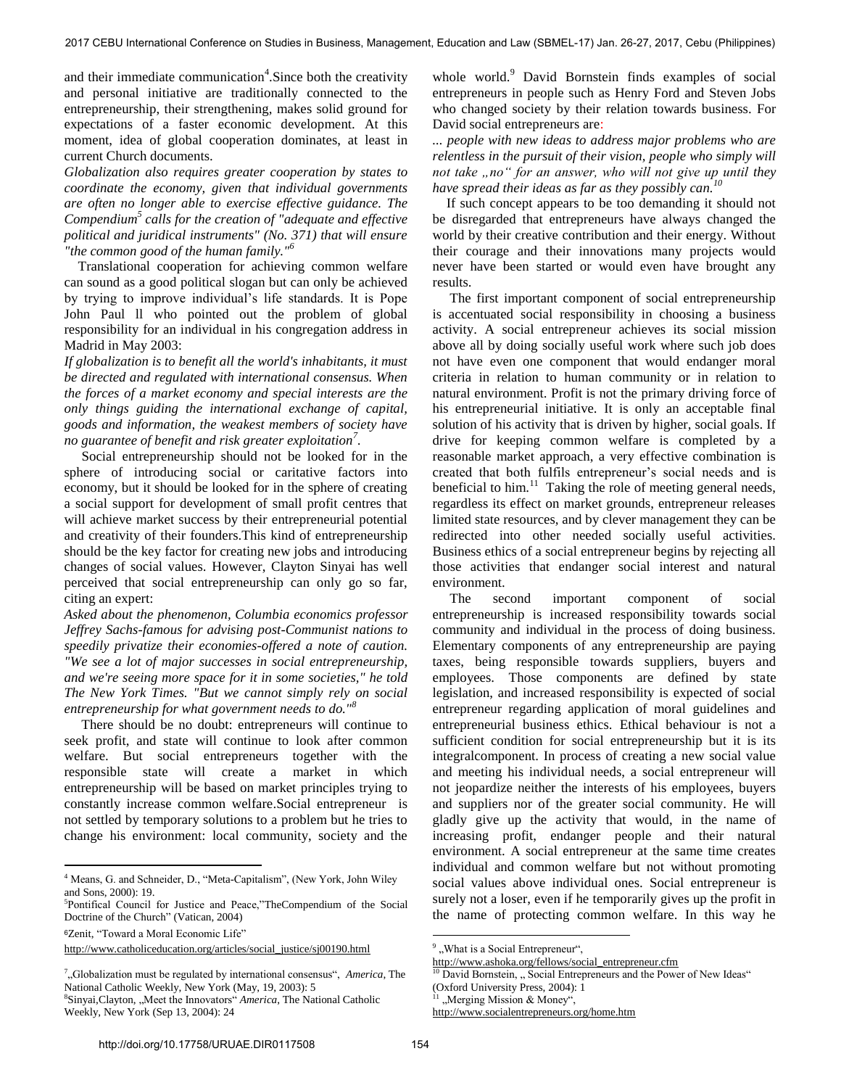and their immediate communication<sup>4</sup>. Since both the creativity and personal initiative are traditionally connected to the entrepreneurship, their strengthening, makes solid ground for expectations of a faster economic development. At this moment, idea of global cooperation dominates, at least in current Church documents.

*Globalization also requires greater cooperation by states to coordinate the economy, given that individual governments are often no longer able to exercise effective guidance. The Compendium<sup>5</sup> calls for the creation of "adequate and effective political and juridical instruments" (No. 371) that will ensure "the common good of the human family."<sup>6</sup>*

 Translational cooperation for achieving common welfare can sound as a good political slogan but can only be achieved by trying to improve individual"s life standards. It is Pope John Paul ll who pointed out the problem of global responsibility for an individual in his congregation address in Madrid in May 2003:

*If globalization is to benefit all the world's inhabitants, it must be directed and regulated with international consensus. When the forces of a market economy and special interests are the only things guiding the international exchange of capital, goods and information, the weakest members of society have no guarantee of benefit and risk greater exploitation<sup>7</sup> .* 

 Social entrepreneurship should not be looked for in the sphere of introducing social or caritative factors into economy, but it should be looked for in the sphere of creating a social support for development of small profit centres that will achieve market success by their entrepreneurial potential and creativity of their founders.This kind of entrepreneurship should be the key factor for creating new jobs and introducing changes of social values. However, Clayton Sinyai has well perceived that social entrepreneurship can only go so far, citing an expert:

*Asked about the phenomenon, Columbia economics professor Jeffrey Sachs-famous for advising post-Communist nations to speedily privatize their economies-offered a note of caution. "We see a lot of major successes in social entrepreneurship, and we're seeing more space for it in some societies," he told The New York Times. "But we cannot simply rely on social entrepreneurship for what government needs to do."<sup>8</sup>*

 There should be no doubt: entrepreneurs will continue to seek profit, and state will continue to look after common welfare. But social entrepreneurs together with the responsible state will create a market in which entrepreneurship will be based on market principles trying to constantly increase common welfare.Social entrepreneur is not settled by temporary solutions to a problem but he tries to change his environment: local community, society and the

<sup>6</sup>Zenit, "Toward a Moral Economic Life"

 $\overline{a}$ 

[http://www.catholiceducation.org/articles/social\\_justice/sj00190.html](http://www.catholiceducation.org/articles/social_justice/sj00190.html)

7 "Globalization must be regulated by international consensus", *America*, The National Catholic Weekly, New York (May, 19, 2003): 5 <sup>8</sup>Sinyai, Clayton, "Meet the Innovators" *America*, The National Catholic

Weekly, New York (Sep 13, 2004): 24

whole world.<sup>9</sup> David Bornstein finds examples of social entrepreneurs in people such as Henry Ford and Steven Jobs who changed society by their relation towards business. For David social entrepreneurs are:

*... people with new ideas to address major problems who are relentless in the pursuit of their vision, people who simply will not take "no" for an answer, who will not give up until they have spread their ideas as far as they possibly can.<sup>10</sup>*

 If such concept appears to be too demanding it should not be disregarded that entrepreneurs have always changed the world by their creative contribution and their energy. Without their courage and their innovations many projects would never have been started or would even have brought any results.

 The first important component of social entrepreneurship is accentuated social responsibility in choosing a business activity. A social entrepreneur achieves its social mission above all by doing socially useful work where such job does not have even one component that would endanger moral criteria in relation to human community or in relation to natural environment. Profit is not the primary driving force of his entrepreneurial initiative. It is only an acceptable final solution of his activity that is driven by higher, social goals. If drive for keeping common welfare is completed by a reasonable market approach, a very effective combination is created that both fulfils entrepreneur"s social needs and is beneficial to him. $11$  Taking the role of meeting general needs, regardless its effect on market grounds, entrepreneur releases limited state resources, and by clever management they can be redirected into other needed socially useful activities. Business ethics of a social entrepreneur begins by rejecting all those activities that endanger social interest and natural environment.

 The second important component of social entrepreneurship is increased responsibility towards social community and individual in the process of doing business. Elementary components of any entrepreneurship are paying taxes, being responsible towards suppliers, buyers and employees. Those components are defined by state legislation, and increased responsibility is expected of social entrepreneur regarding application of moral guidelines and entrepreneurial business ethics. Ethical behaviour is not a sufficient condition for social entrepreneurship but it is its integralcomponent. In process of creating a new social value and meeting his individual needs, a social entrepreneur will not jeopardize neither the interests of his employees, buyers and suppliers nor of the greater social community. He will gladly give up the activity that would, in the name of increasing profit, endanger people and their natural environment. A social entrepreneur at the same time creates individual and common welfare but not without promoting social values above individual ones. Social entrepreneur is surely not a loser, even if he temporarily gives up the profit in the name of protecting common welfare. In this way he

[http://www.ashoka.org/fellows/social\\_entrepreneur.cfm](http://www.ashoka.org/fellows/social_entrepreneur.cfm)

<sup>&</sup>lt;sup>4</sup> Means, G. and Schneider, D., "Meta-Capitalism", (New York, John Wiley and Sons, 2000): 19.

<sup>5</sup> Pontifical Council for Justice and Peace,"TheCompendium of the Social Doctrine of the Church" (Vatican, 2004)

<sup>&</sup>lt;sup>9</sup>, What is a Social Entrepreneur",

<sup>&</sup>lt;sup>10</sup> David Bornstein, "Social Entrepreneurs and the Power of New Ideas" (Oxford University Press, 2004): 1

<sup>&</sup>quot;Merging Mission & Money",

<http://www.socialentrepreneurs.org/home.htm>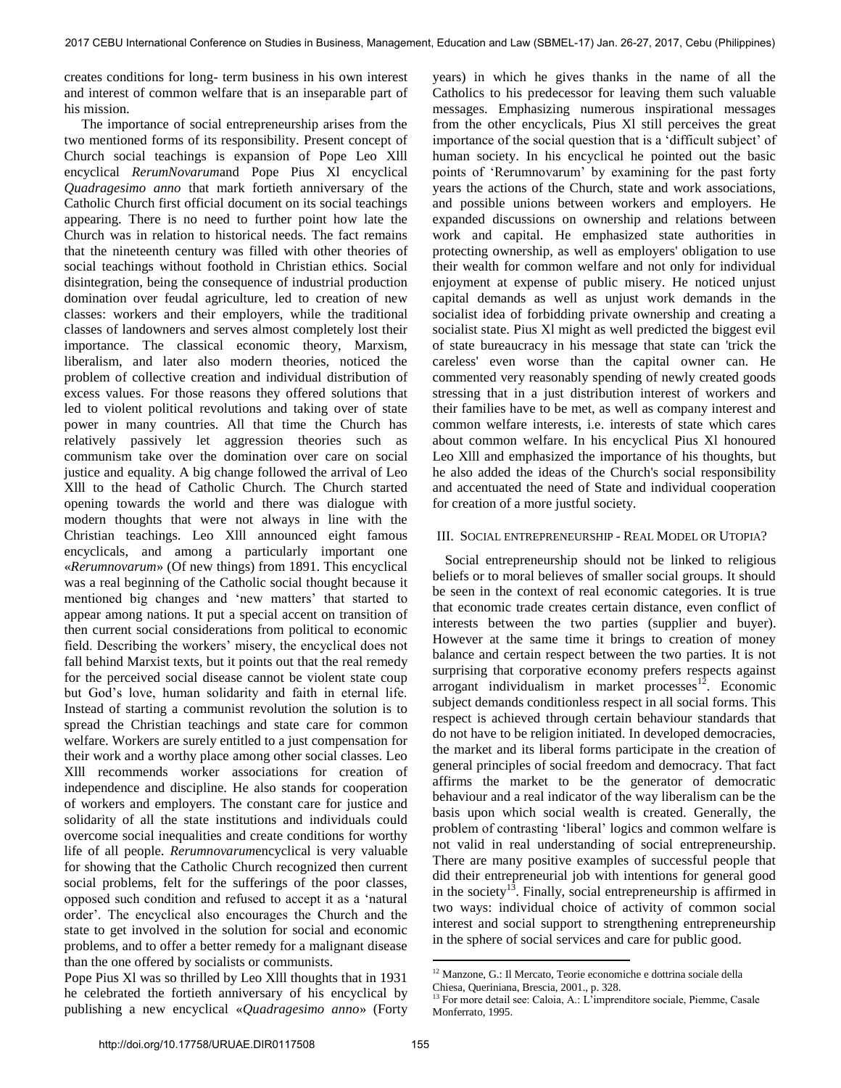creates conditions for long- term business in his own interest and interest of common welfare that is an inseparable part of his mission.

 The importance of social entrepreneurship arises from the two mentioned forms of its responsibility. Present concept of Church social teachings is expansion of Pope Leo Xlll encyclical *RerumNovarum*and Pope Pius Xl encyclical *Quadragesimo anno* that mark fortieth anniversary of the Catholic Church first official document on its social teachings appearing. There is no need to further point how late the Church was in relation to historical needs. The fact remains that the nineteenth century was filled with other theories of social teachings without foothold in Christian ethics. Social disintegration, being the consequence of industrial production domination over feudal agriculture, led to creation of new classes: workers and their employers, while the traditional classes of landowners and serves almost completely lost their importance. The classical economic theory, Marxism, liberalism, and later also modern theories, noticed the problem of collective creation and individual distribution of excess values. For those reasons they offered solutions that led to violent political revolutions and taking over of state power in many countries. All that time the Church has relatively passively let aggression theories such as communism take over the domination over care on social justice and equality. A big change followed the arrival of Leo Xlll to the head of Catholic Church. The Church started opening towards the world and there was dialogue with modern thoughts that were not always in line with the Christian teachings. Leo Xlll announced eight famous encyclicals, and among a particularly important one «*Rerumnovarum*» (Of new things) from 1891. This encyclical was a real beginning of the Catholic social thought because it mentioned big changes and "new matters" that started to appear among nations. It put a special accent on transition of then current social considerations from political to economic field. Describing the workers' misery, the encyclical does not fall behind Marxist texts, but it points out that the real remedy for the perceived social disease cannot be violent state coup but God"s love, human solidarity and faith in eternal life. Instead of starting a communist revolution the solution is to spread the Christian teachings and state care for common welfare. Workers are surely entitled to a just compensation for their work and a worthy place among other social classes. Leo Xlll recommends worker associations for creation of independence and discipline. He also stands for cooperation of workers and employers. The constant care for justice and solidarity of all the state institutions and individuals could overcome social inequalities and create conditions for worthy life of all people. *Rerumnovarum*encyclical is very valuable for showing that the Catholic Church recognized then current social problems, felt for the sufferings of the poor classes, opposed such condition and refused to accept it as a "natural order". The encyclical also encourages the Church and the state to get involved in the solution for social and economic problems, and to offer a better remedy for a malignant disease than the one offered by socialists or communists.

Pope Pius Xl was so thrilled by Leo Xlll thoughts that in 1931 he celebrated the fortieth anniversary of his encyclical by publishing a new encyclical «*Quadragesimo anno*» (Forty years) in which he gives thanks in the name of all the Catholics to his predecessor for leaving them such valuable messages. Emphasizing numerous inspirational messages from the other encyclicals, Pius Xl still perceives the great importance of the social question that is a "difficult subject" of human society. In his encyclical he pointed out the basic points of "Rerumnovarum" by examining for the past forty years the actions of the Church, state and work associations, and possible unions between workers and employers. He expanded discussions on ownership and relations between work and capital. He emphasized state authorities in protecting ownership, as well as employers' obligation to use their wealth for common welfare and not only for individual enjoyment at expense of public misery. He noticed unjust capital demands as well as unjust work demands in the socialist idea of forbidding private ownership and creating a socialist state. Pius Xl might as well predicted the biggest evil of state bureaucracy in his message that state can 'trick the careless' even worse than the capital owner can. He commented very reasonably spending of newly created goods stressing that in a just distribution interest of workers and their families have to be met, as well as company interest and common welfare interests, i.e. interests of state which cares about common welfare. In his encyclical Pius Xl honoured Leo Xlll and emphasized the importance of his thoughts, but he also added the ideas of the Church's social responsibility and accentuated the need of State and individual cooperation for creation of a more justful society.

### III. SOCIAL ENTREPRENEURSHIP - REAL MODEL OR UTOPIA?

Social entrepreneurship should not be linked to religious beliefs or to moral believes of smaller social groups. It should be seen in the context of real economic categories. It is true that economic trade creates certain distance, even conflict of interests between the two parties (supplier and buyer). However at the same time it brings to creation of money balance and certain respect between the two parties. It is not surprising that corporative economy prefers respects against arrogant individualism in market processes $12$ . Economic subject demands conditionless respect in all social forms. This respect is achieved through certain behaviour standards that do not have to be religion initiated. In developed democracies, the market and its liberal forms participate in the creation of general principles of social freedom and democracy. That fact affirms the market to be the generator of democratic behaviour and a real indicator of the way liberalism can be the basis upon which social wealth is created. Generally, the problem of contrasting "liberal" logics and common welfare is not valid in real understanding of social entrepreneurship. There are many positive examples of successful people that did their entrepreneurial job with intentions for general good in the society<sup>13</sup>. Finally, social entrepreneurship is affirmed in two ways: individual choice of activity of common social interest and social support to strengthening entrepreneurship in the sphere of social services and care for public good.

<sup>&</sup>lt;sup>12</sup> Manzone, G.: Il Mercato, Teorie economiche e dottrina sociale della Chiesa, Queriniana, Brescia, 2001., p. 328.

<sup>&</sup>lt;sup>3</sup> For more detail see: Caloia, A.: L'imprenditore sociale, Piemme, Casale Monferrato, 1995.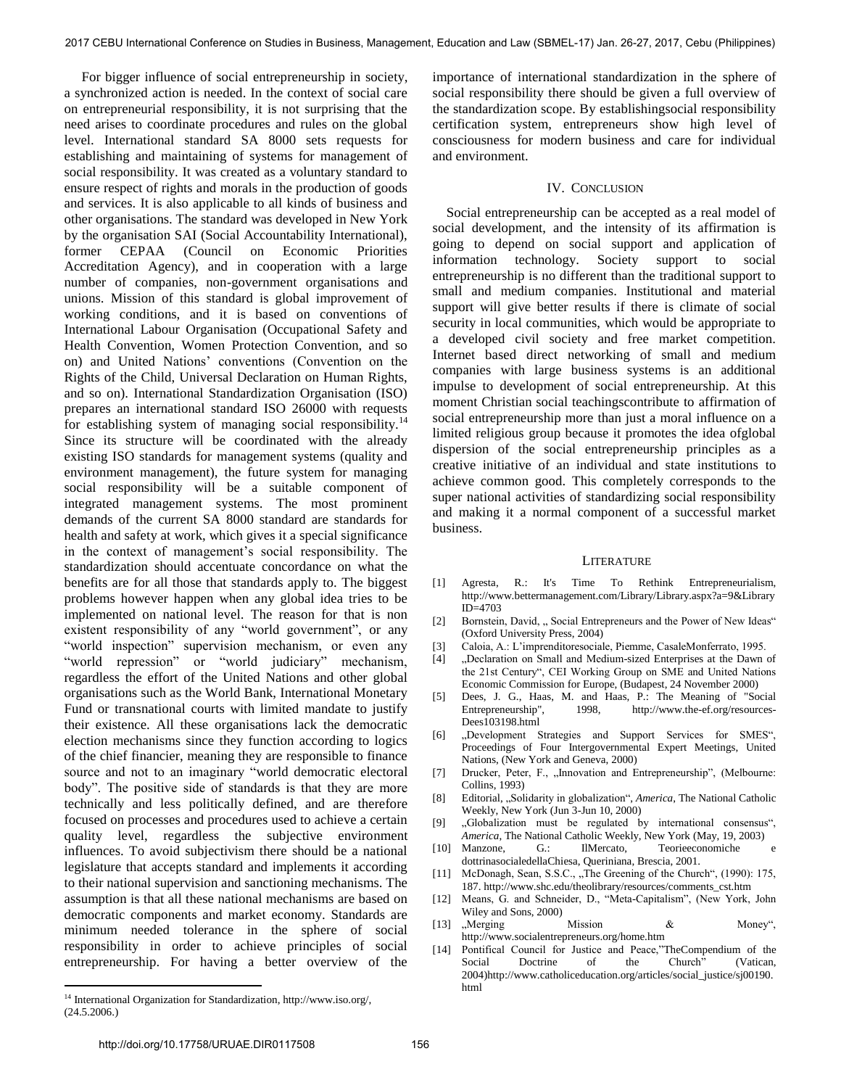For bigger influence of social entrepreneurship in society, a synchronized action is needed. In the context of social care on entrepreneurial responsibility, it is not surprising that the need arises to coordinate procedures and rules on the global level. International standard SA 8000 sets requests for establishing and maintaining of systems for management of social responsibility. It was created as a voluntary standard to ensure respect of rights and morals in the production of goods and services. It is also applicable to all kinds of business and other organisations. The standard was developed in New York by the organisation SAI (Social Accountability International), former CEPAA (Council on Economic Priorities Accreditation Agency), and in cooperation with a large number of companies, non-government organisations and unions. Mission of this standard is global improvement of working conditions, and it is based on conventions of International Labour Organisation (Occupational Safety and Health Convention, Women Protection Convention, and so on) and United Nations" conventions (Convention on the Rights of the Child, Universal Declaration on Human Rights, and so on). International Standardization Organisation (ISO) prepares an international standard ISO 26000 with requests for establishing system of managing social responsibility.<sup>14</sup> Since its structure will be coordinated with the already existing ISO standards for management systems (quality and environment management), the future system for managing social responsibility will be a suitable component of integrated management systems. The most prominent demands of the current SA 8000 standard are standards for health and safety at work, which gives it a special significance in the context of management's social responsibility. The standardization should accentuate concordance on what the benefits are for all those that standards apply to. The biggest problems however happen when any global idea tries to be implemented on national level. The reason for that is non existent responsibility of any "world government", or any "world inspection" supervision mechanism, or even any "world repression" or "world judiciary" mechanism, regardless the effort of the United Nations and other global organisations such as the World Bank, International Monetary Fund or transnational courts with limited mandate to justify their existence. All these organisations lack the democratic election mechanisms since they function according to logics of the chief financier, meaning they are responsible to finance source and not to an imaginary "world democratic electoral body". The positive side of standards is that they are more technically and less politically defined, and are therefore focused on processes and procedures used to achieve a certain quality level, regardless the subjective environment influences. To avoid subjectivism there should be a national legislature that accepts standard and implements it according to their national supervision and sanctioning mechanisms. The assumption is that all these national mechanisms are based on democratic components and market economy. Standards are minimum needed tolerance in the sphere of social responsibility in order to achieve principles of social entrepreneurship. For having a better overview of the

importance of international standardization in the sphere of social responsibility there should be given a full overview of the standardization scope. By establishingsocial responsibility certification system, entrepreneurs show high level of consciousness for modern business and care for individual and environment.

### IV. CONCLUSION

 Social entrepreneurship can be accepted as a real model of social development, and the intensity of its affirmation is going to depend on social support and application of information technology. Society support to social entrepreneurship is no different than the traditional support to small and medium companies. Institutional and material support will give better results if there is climate of social security in local communities, which would be appropriate to a developed civil society and free market competition. Internet based direct networking of small and medium companies with large business systems is an additional impulse to development of social entrepreneurship. At this moment Christian social teachingscontribute to affirmation of social entrepreneurship more than just a moral influence on a limited religious group because it promotes the idea ofglobal dispersion of the social entrepreneurship principles as a creative initiative of an individual and state institutions to achieve common good. This completely corresponds to the super national activities of standardizing social responsibility and making it a normal component of a successful market business.

#### LITERATURE

- [1] Agresta, R.: It's Time To Rethink Entrepreneurialism, [http://www.bettermanagement.com/Library/Library.aspx?a=9&Library](http://www.bettermanagement.com/Library/Library.aspx?a=9&LibraryID=4703) [ID=4703](http://www.bettermanagement.com/Library/Library.aspx?a=9&LibraryID=4703)
- [2] Bornstein, David, "Social Entrepreneurs and the Power of New Ideas" (Oxford University Press, 2004)
- [3] Caloia, A.: L"imprenditoresociale, Piemme, CasaleMonferrato, 1995.
- [4] "Declaration on Small and Medium-sized Enterprises at the Dawn of the 21st Century", CEI Working Group on SME and United Nations Economic Commission for Europe, (Budapest, 24 November 2000)
- [5] Dees, J. G., Haas, M. and Haas, P.: The Meaning of "Social Entrepreneurship", 1998, [http://www.the-ef.org/resources-](http://www.the-ef.org/resources-Dees103198.html)[Dees103198.html](http://www.the-ef.org/resources-Dees103198.html)
- [6] "Development Strategies and Support Services for SMES", Proceedings of Four Intergovernmental Expert Meetings, United Nations, (New York and Geneva, 2000)
- [7] Drucker, Peter, F., "Innovation and Entrepreneurship", (Melbourne: Collins, 1993)
- [8] Editorial, "Solidarity in globalization", *America*, The National Catholic Weekly, New York (Jun 3-Jun 10, 2000)
- [9] "Globalization must be regulated by international consensus", *America*, The National Catholic Weekly, New York (May, 19, 2003)
- [10] Manzone, G.: IlMercato, Teorieeconomiche dottrinasocialedellaChiesa, Queriniana, Brescia, 2001.
- [11] McDonagh, Sean, S.S.C., "The Greening of the Church", (1990): 175, 187[. http://www.shc.edu/theolibrary/resources/comments\\_cst.htm](http://www.shc.edu/theolibrary/resources/comments_cst.htm)
- [12] Means, G. and Schneider, D., "Meta-Capitalism", (New York, John Wiley and Sons, 2000)
- [13] "Merging Mission  $\&$  Money", <http://www.socialentrepreneurs.org/home.htm>
- [14] Pontifical Council for Justice and Peace,"TheCompendium of the Social Doctrine of the Church" (Vatican, 2004[\)http://www.catholiceducation.org/articles/social\\_justice/sj00190.](http://www.catholiceducation.org/articles/social_justice/sj00190.html) [html](http://www.catholiceducation.org/articles/social_justice/sj00190.html)

 $^{14}$  International Organization for Standardization, http://www.iso.org/, (24.5.2006.)